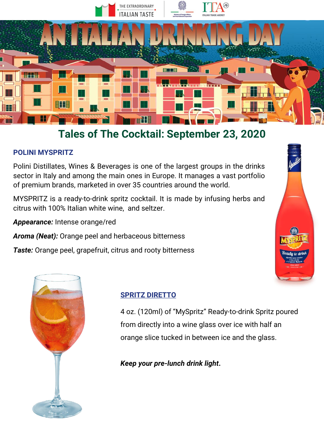

### **POLINI MYSPRITZ**

Polini Distillates, Wines & Beverages is one of the largest groups in the drinks sector in Italy and among the main ones in Europe. It manages a vast portfolio of premium brands, marketed in over 35 countries around the world.

MYSPRITZ is a ready-to-drink spritz cocktail. It is made by infusing herbs and citrus with 100% Italian white wine, and seltzer.

*Appearance:* Intense orange/red

*Aroma (Neat):* Orange peel and herbaceous bitterness

*Taste:* Orange peel, grapefruit, citrus and rooty bitterness





### **SPRITZ DIRETTO**

4 oz. (120ml) of "MySpritz" Ready-to-drink Spritz poured from directly into a wine glass over ice with half an orange slice tucked in between ice and the glass.

*Keep your pre-lunch drink light***.**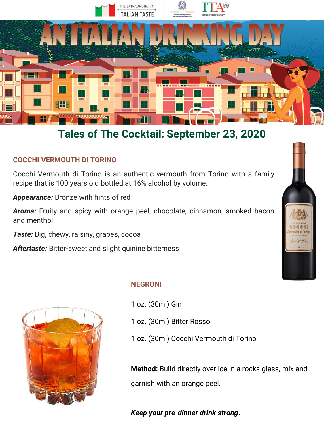

#### **COCCHI VERMOUTH DI TORINO**

Cocchi Vermouth di Torino is an authentic vermouth from Torino with a family recipe that is 100 years old bottled at 16% alcohol by volume.

*Appearance:* Bronze with hints of red

*Aroma:* Fruity and spicy with orange peel, chocolate, cinnamon, smoked bacon and menthol

*Taste:* Big, chewy, raisiny, grapes, cocoa

*Aftertaste:* Bitter-sweet and slight quinine bitterness



#### **NEGRONI**

- 1 oz. (30ml) Gin
- 1 oz. (30ml) Bitter Rosso
- 1 oz. (30ml) Cocchi Vermouth di Torino

**Method:** Build directly over ice in a rocks glass, mix and garnish with an orange peel.

*Keep your pre-dinner drink strong***.**

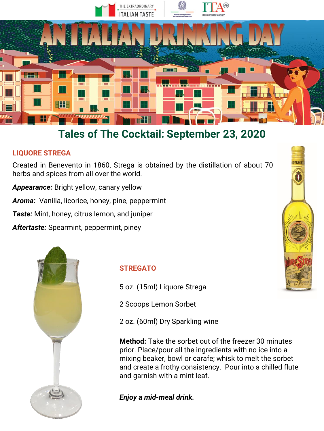

### **LIQUORE STREGA**

Created in Benevento in 1860, Strega is obtained by the distillation of about 70 herbs and spices from all over the world.

*Appearance:* Bright yellow, canary yellow

*Aroma:* Vanilla, licorice, honey, pine, peppermint

*Taste:* Mint, honey, citrus lemon, and juniper

*Aftertaste:* Spearmint, peppermint, piney



#### **STREGATO**

5 oz. (15ml) Liquore Strega

2 Scoops Lemon Sorbet

2 oz. (60ml) Dry Sparkling wine

**Method:** Take the sorbet out of the freezer 30 minutes prior. Place/pour all the ingredients with no ice into a mixing beaker, bowl or carafe; whisk to melt the sorbet and create a frothy consistency. Pour into a chilled flute and garnish with a mint leaf.

*Enjoy a mid-meal drink.*